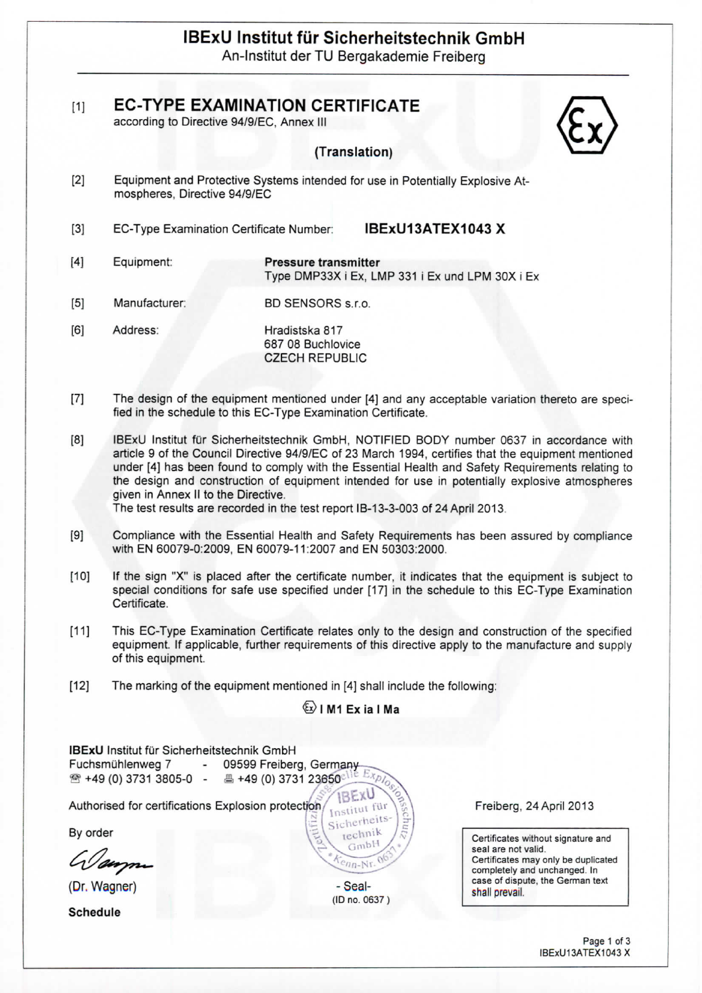# **IBExU Institut fur Sicherheitstechnik GmbH**

An-lnstitut derTU Bergakademie Freiberg

| $[1]$ | <b>EC-TYPE EXAMINATION CERTIFICATE</b> |  |
|-------|----------------------------------------|--|
|       |                                        |  |

according to Directive 94/9/EC, Annex III

## **(Translation)**

- [2] Equipment and Protective Systems intended for use in Potentially Explosive Atmospheres, Directive 94/9/EC
- [3] **EC-Type Examination Certificate Number:**

icate Number: **IBExll13ATEX1043 X**

- [4] Equipment: **Pressure transmitter** Type DMP33X i Ex, IMP 331 i Ex und LPM SOX i Ex
- [5] Manufacturer: BD SENSORS s.r.o.
- [6] Address: Hradistska 817 687 08 Buchlovice CZECH REPUBLIC
- [7] The design of the equipment mentioned under [4] and any acceptable variation thereto are specified in the schedule to this EC-Type Examination Certificate.
- [8] IBExU Institut fur Sicherheitstechnik GmbH, NOTIFIED BODY number 0637 in accordance with article 9 of the Council Directive 94/9/EC of 23 March 1994, certifies that the equipment mentioned under [4] has been found to comply with the Essential Health and Safety Requirements relating to the design and construction of equipment intended for use in potentially explosive atmospheres given in Annex II to the Directive.

The test results are recorded in the test report IB-13-3-003 of 24 April 2013

- [9] Compliance with the Essential Health and Safety Requirements has been assured by compliance with EN 60079-0:2009, EN 60079-11:2007 and EN 50303:2000.
- [10] If the sign "X" is placed after the certificate number, it indicates that the equipment is subject to special conditions for safe use specified under [17] in the schedule to this EC-Type Examination Certificate.
- [11] This EC-Type Examination Certificate relates only to the design and construction of the specified equipment. If applicable, further requirements of this directive apply to the manufacture and supply of this equipment.
- [12] The marking of the equipment mentioned in [4] shall include the following:

# $\langle \overline{\epsilon x} \rangle$  | M1 Ex ia | Ma

| <b>IBExU</b> Institut für Sicherheitstechnik GmbH<br>Fuchsmühlenweg 7<br>$\overline{\phantom{a}}$<br>☎ +49 (0) 3731 3805-0 - 昌 +49 (0) 3731 23650 | 09599 Freiberg, Germany<br>EXPIOSICS                    |                                                                                            |
|---------------------------------------------------------------------------------------------------------------------------------------------------|---------------------------------------------------------|--------------------------------------------------------------------------------------------|
| Authorised for certifications Explosion protection                                                                                                | <b>IBEXU</b><br>Institut für<br>c<br>'Sicherheits-<br>F | Freiberg, 24 April 2013                                                                    |
| By order                                                                                                                                          | m<br>technik<br>5                                       | Certificates without signature and                                                         |
| Wayne                                                                                                                                             | GmbH<br>$\sqrt{2}$<br>$\sqrt{c_{n}Nr}$ 06               | seal are not valid.<br>Certificates may only be duplicated<br>completely and unchanged. In |
| (Dr. Wagner)                                                                                                                                      | - Seal-                                                 | case of dispute, the German text<br>shall prevail.                                         |
|                                                                                                                                                   | (ID no. 0637)                                           |                                                                                            |
| Schedule                                                                                                                                          |                                                         |                                                                                            |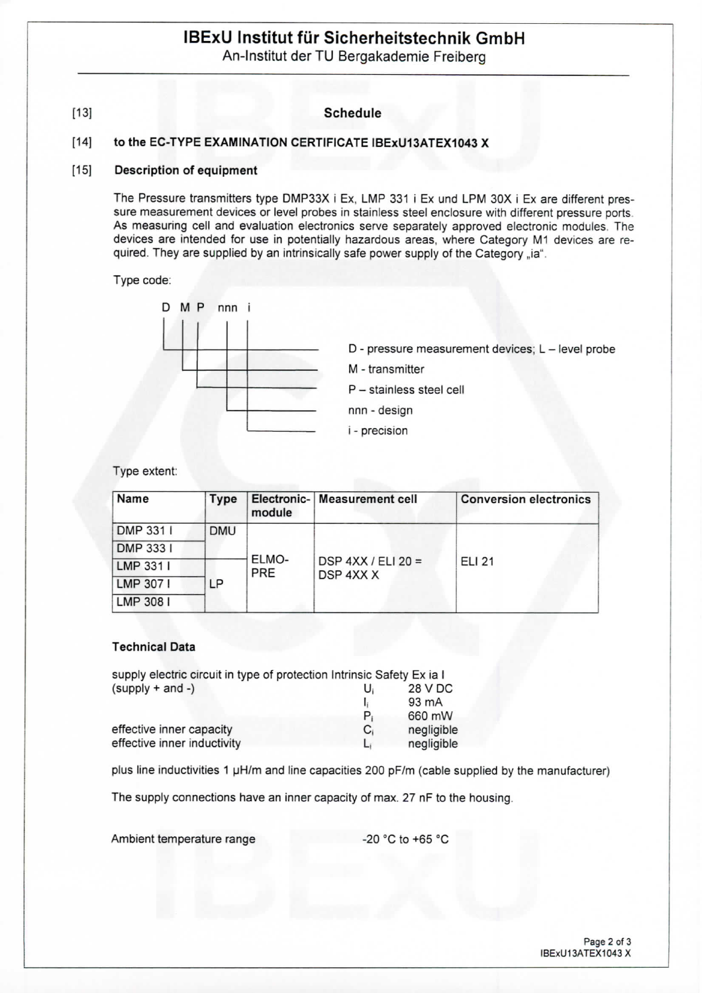# **IBExU Institut fur Sicherheitstechnik GmbH**

An-Institut der TU Bergakademie Freiberg

# [13] **Schedule**

# **[14] to the EC-TYPE EXAMINATION CERTIFICATE IBExU13ATEX1043 X**

#### **[15] Description of equipment**

The Pressure transmitters type DMP33X i Ex, LMP 331 i Ex und LPM 30X i Ex are different pressure measurement devices or level probes in stainless steel enclosure with different pressure ports As measuring cell and evaluation electronics serve separately approved electronic modules. The devices are intended for use in potentially hazardous areas, where Category M1 devices are required. They are supplied by an intrinsically safe power supply of the Category "ia".

Type code:



- D pressure measurement devices; L level probe
- M transmitter

P - stainless steel cell

- nnn design
- i precision

#### Type extent:

| Name      | Type       | module       | Electronic-   Measurement cell    | <b>Conversion electronics</b> |  |
|-----------|------------|--------------|-----------------------------------|-------------------------------|--|
| DMP 331 I | <b>DMU</b> | ELMO-<br>PRE | DSP $4XX / ELI 20 =$<br>DSP 4XX X |                               |  |
| DMP 3331  |            |              |                                   | <b>ELI 21</b>                 |  |
| LMP 331 I |            |              |                                   |                               |  |
| LMP 307 I | LΡ         |              |                                   |                               |  |
| LMP 308 I |            |              |                                   |                               |  |

#### **Technical Data**

| supply electric circuit in type of protection Intrinsic Safety Ex ia I |    |            |
|------------------------------------------------------------------------|----|------------|
| $(supply + and -)$                                                     | U  | 28 V DC    |
|                                                                        |    | 93 mA      |
|                                                                        | P, | 660 mW     |
| effective inner capacity                                               | C, | negligible |
| effective inner inductivity                                            | Li | negligible |

plus line inductivities 1 uH/m and line capacities 200 pF/m {cable supplied by the manufacturer)

The supply connections have an inner capacity of max. 27 nF to the housing.

Ambient temperature range  $-20$  °C to +65 °C